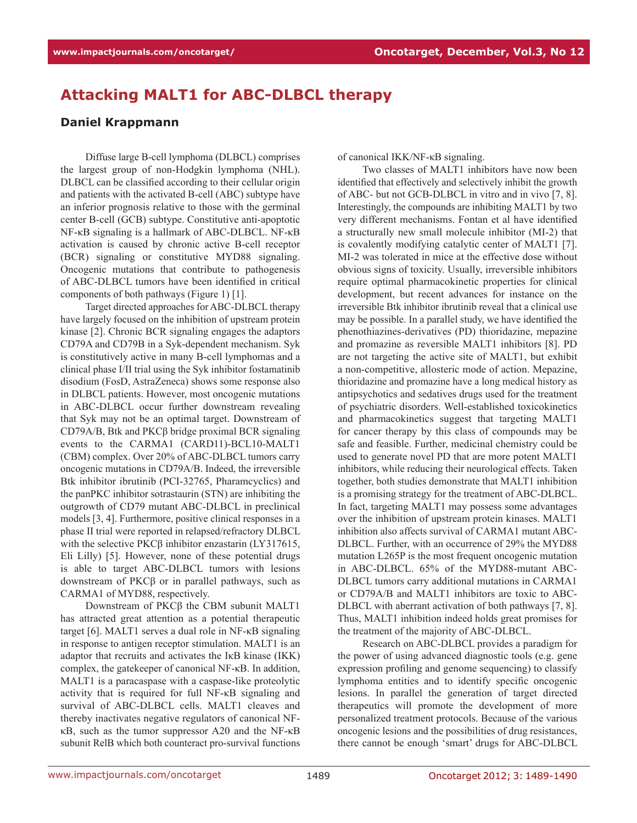## **Attacking MALT1 for ABC-DLBCL therapy**

## **Daniel Krappmann**

Diffuse large B-cell lymphoma (DLBCL) comprises the largest group of non-Hodgkin lymphoma (NHL). DLBCL can be classified according to their cellular origin and patients with the activated B-cell (ABC) subtype have an inferior prognosis relative to those with the germinal center B-cell (GCB) subtype. Constitutive anti-apoptotic NF-κB signaling is a hallmark of ABC-DLBCL. NF-κB activation is caused by chronic active B-cell receptor (BCR) signaling or constitutive MYD88 signaling. Oncogenic mutations that contribute to pathogenesis of ABC-DLBCL tumors have been identified in critical components of both pathways (Figure 1) [1].

Target directed approaches for ABC-DLBCL therapy have largely focused on the inhibition of upstream protein kinase [2]. Chronic BCR signaling engages the adaptors CD79A and CD79B in a Syk-dependent mechanism. Syk is constitutively active in many B-cell lymphomas and a clinical phase I/II trial using the Syk inhibitor fostamatinib disodium (FosD, AstraZeneca) shows some response also in DLBCL patients. However, most oncogenic mutations in ABC-DLBCL occur further downstream revealing that Syk may not be an optimal target. Downstream of CD79A/B, Btk and PKCβ bridge proximal BCR signaling events to the CARMA1 (CARD11)-BCL10-MALT1 (CBM) complex. Over 20% of ABC-DLBCL tumors carry oncogenic mutations in CD79A/B. Indeed, the irreversible Btk inhibitor ibrutinib (PCI-32765, Pharamcyclics) and the panPKC inhibitor sotrastaurin (STN) are inhibiting the outgrowth of CD79 mutant ABC-DLBCL in preclinical models [3, 4]. Furthermore, positive clinical responses in a phase II trial were reported in relapsed/refractory DLBCL with the selective PKCβ inhibitor enzastarin (LY317615, Eli Lilly) [5]. However, none of these potential drugs is able to target ABC-DLBCL tumors with lesions downstream of PKCβ or in parallel pathways, such as CARMA1 of MYD88, respectively.

Downstream of PKCβ the CBM subunit MALT1 has attracted great attention as a potential therapeutic target [6]. MALT1 serves a dual role in NF-κB signaling in response to antigen receptor stimulation. MALT1 is an adaptor that recruits and activates the IκB kinase (IKK) complex, the gatekeeper of canonical NF-κB. In addition, MALT1 is a paracaspase with a caspase-like proteolytic activity that is required for full NF-κB signaling and survival of ABC-DLBCL cells. MALT1 cleaves and thereby inactivates negative regulators of canonical NFκB, such as the tumor suppressor A20 and the NF-κB subunit RelB which both counteract pro-survival functions of canonical IKK/NF-κB signaling.

Two classes of MALT1 inhibitors have now been identified that effectively and selectively inhibit the growth of ABC- but not GCB-DLBCL in vitro and in vivo [7, 8]. Interestingly, the compounds are inhibiting MALT1 by two very different mechanisms. Fontan et al have identified a structurally new small molecule inhibitor (MI-2) that is covalently modifying catalytic center of MALT1 [7]. MI-2 was tolerated in mice at the effective dose without obvious signs of toxicity. Usually, irreversible inhibitors require optimal pharmacokinetic properties for clinical development, but recent advances for instance on the irreversible Btk inhibitor ibrutinib reveal that a clinical use may be possible. In a parallel study, we have identified the phenothiazines-derivatives (PD) thioridazine, mepazine and promazine as reversible MALT1 inhibitors [8]. PD are not targeting the active site of MALT1, but exhibit a non-competitive, allosteric mode of action. Mepazine, thioridazine and promazine have a long medical history as antipsychotics and sedatives drugs used for the treatment of psychiatric disorders. Well-established toxicokinetics and pharmacokinetics suggest that targeting MALT1 for cancer therapy by this class of compounds may be safe and feasible. Further, medicinal chemistry could be used to generate novel PD that are more potent MALT1 inhibitors, while reducing their neurological effects. Taken together, both studies demonstrate that MALT1 inhibition is a promising strategy for the treatment of ABC-DLBCL. In fact, targeting MALT1 may possess some advantages over the inhibition of upstream protein kinases. MALT1 inhibition also affects survival of CARMA1 mutant ABC-DLBCL. Further, with an occurrence of 29% the MYD88 mutation L265P is the most frequent oncogenic mutation in ABC-DLBCL. 65% of the MYD88-mutant ABC-DLBCL tumors carry additional mutations in CARMA1 or CD79A/B and MALT1 inhibitors are toxic to ABC-DLBCL with aberrant activation of both pathways [7, 8]. Thus, MALT1 inhibition indeed holds great promises for the treatment of the majority of ABC-DLBCL.

Research on ABC-DLBCL provides a paradigm for the power of using advanced diagnostic tools (e.g. gene expression profiling and genome sequencing) to classify lymphoma entities and to identify specific oncogenic lesions. In parallel the generation of target directed therapeutics will promote the development of more personalized treatment protocols. Because of the various oncogenic lesions and the possibilities of drug resistances, there cannot be enough 'smart' drugs for ABC-DLBCL